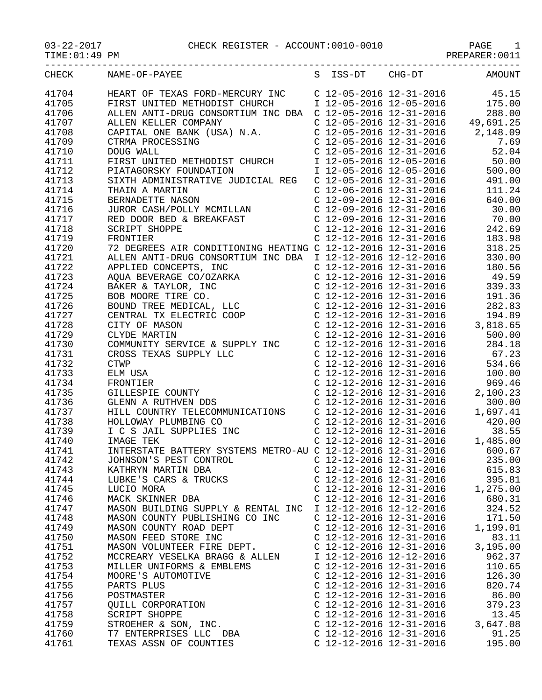|       | CHECK NAME-OF-PAYEE<br>S ISS-DT CHG-DT AMOUNT                                                                                                                                                                                                                                                                                                            |                                     |                           |          |
|-------|----------------------------------------------------------------------------------------------------------------------------------------------------------------------------------------------------------------------------------------------------------------------------------------------------------------------------------------------------------|-------------------------------------|---------------------------|----------|
| 41704 | HEART OF TEXAS FORD-MERCURY INC C 12-05-2016 12-31-2016 45.15<br>FIRST UNITED METHODIST CHURCH I 12-05-2016 12-05-2016 175.00<br>ALLEN ANTI-DRUG CONSORTIUM INC DBA C 12-05-2016 12-31-2016 288.00<br>C 12-05-2016 12-31-2016 49,691.25                                                                                                                  |                                     |                           |          |
| 41705 |                                                                                                                                                                                                                                                                                                                                                          |                                     |                           |          |
| 41706 |                                                                                                                                                                                                                                                                                                                                                          |                                     |                           |          |
| 41707 |                                                                                                                                                                                                                                                                                                                                                          |                                     |                           |          |
| 41708 | $\begin{tabular}{l c c c c c} \hline \texttt{ALLEN ANTI-DRUG CONGORITHM INC DBA} & C & 12-05-2016 & 12-31-2016 & 49,691.25 \\ \hline \texttt{ALEN KELLER CONPRANY} & C & 12-05-2016 & 12-31-2016 & 49,691.25 \\ \hline \texttt{CAPTRA PROCESSING} & C & 12-05-2016 & 12-31-2016 & 52.04 \\ \hline \texttt{PTRM PROCESSING} & C & 12-05-2016 & 12-31-201$ |                                     |                           |          |
| 41709 |                                                                                                                                                                                                                                                                                                                                                          |                                     |                           |          |
| 41710 |                                                                                                                                                                                                                                                                                                                                                          |                                     |                           |          |
| 41711 |                                                                                                                                                                                                                                                                                                                                                          |                                     |                           |          |
| 41712 |                                                                                                                                                                                                                                                                                                                                                          |                                     |                           |          |
| 41713 |                                                                                                                                                                                                                                                                                                                                                          |                                     |                           |          |
| 41714 |                                                                                                                                                                                                                                                                                                                                                          |                                     |                           |          |
| 41715 |                                                                                                                                                                                                                                                                                                                                                          |                                     |                           |          |
| 41716 |                                                                                                                                                                                                                                                                                                                                                          |                                     |                           |          |
| 41717 |                                                                                                                                                                                                                                                                                                                                                          |                                     |                           |          |
| 41718 |                                                                                                                                                                                                                                                                                                                                                          |                                     |                           |          |
|       |                                                                                                                                                                                                                                                                                                                                                          |                                     |                           |          |
| 41719 |                                                                                                                                                                                                                                                                                                                                                          |                                     |                           |          |
| 41720 |                                                                                                                                                                                                                                                                                                                                                          |                                     |                           |          |
| 41721 |                                                                                                                                                                                                                                                                                                                                                          |                                     |                           |          |
| 41722 |                                                                                                                                                                                                                                                                                                                                                          |                                     |                           |          |
| 41723 |                                                                                                                                                                                                                                                                                                                                                          |                                     |                           |          |
| 41724 |                                                                                                                                                                                                                                                                                                                                                          |                                     |                           |          |
| 41725 |                                                                                                                                                                                                                                                                                                                                                          |                                     |                           |          |
| 41726 |                                                                                                                                                                                                                                                                                                                                                          |                                     |                           |          |
| 41727 |                                                                                                                                                                                                                                                                                                                                                          |                                     |                           |          |
| 41728 |                                                                                                                                                                                                                                                                                                                                                          |                                     |                           |          |
| 41729 | $\begin{tabular}{ l c c c c c} \multicolumn{1}{c}{C12-12-2016}&12-31-2016&2-31-2016&2-31-2016&2-31-2016&2-31-2016&2-31-2016&2-31-2016&2-31-2016&2-31-2016&2-31-2016&2-31-2016&2-31-2016&2-31-2016&2-31-2016&2-31-2016&2-31-2016&2-31-2016&2-31-2016&$                                                                                                    |                                     |                           |          |
| 41730 |                                                                                                                                                                                                                                                                                                                                                          |                                     |                           |          |
| 41731 |                                                                                                                                                                                                                                                                                                                                                          |                                     |                           |          |
| 41732 |                                                                                                                                                                                                                                                                                                                                                          |                                     |                           |          |
| 41733 |                                                                                                                                                                                                                                                                                                                                                          |                                     |                           |          |
| 41734 |                                                                                                                                                                                                                                                                                                                                                          |                                     |                           |          |
| 41735 |                                                                                                                                                                                                                                                                                                                                                          |                                     |                           |          |
| 41736 |                                                                                                                                                                                                                                                                                                                                                          |                                     |                           |          |
| 41737 |                                                                                                                                                                                                                                                                                                                                                          |                                     |                           |          |
| 41738 |                                                                                                                                                                                                                                                                                                                                                          |                                     |                           |          |
| 41739 | HOLLOWAY P<br>I C S JAIL<br>IMAGE TEK                                                                                                                                                                                                                                                                                                                    |                                     |                           |          |
| 41740 |                                                                                                                                                                                                                                                                                                                                                          |                                     |                           |          |
| 41741 | INTERSTATE BATTERY SYSTEMS METRO-AU C 12-12-2016 12-31-2016 600.67                                                                                                                                                                                                                                                                                       |                                     |                           |          |
| 41742 | JOHNSON'S PEST CONTROL                                                                                                                                                                                                                                                                                                                                   |                                     | $C$ 12-12-2016 12-31-2016 | 235.00   |
| 41743 | KATHRYN MARTIN DBA                                                                                                                                                                                                                                                                                                                                       | C $12 - 12 - 2016$ $12 - 31 - 2016$ |                           | 615.83   |
| 41744 | LUBKE'S CARS & TRUCKS                                                                                                                                                                                                                                                                                                                                    | $C$ 12-12-2016 12-31-2016           |                           | 395.81   |
| 41745 | LUCIO MORA                                                                                                                                                                                                                                                                                                                                               | C $12 - 12 - 2016$ $12 - 31 - 2016$ |                           | 1,275.00 |
| 41746 | MACK SKINNER DBA                                                                                                                                                                                                                                                                                                                                         | C $12 - 12 - 2016$ $12 - 31 - 2016$ |                           | 680.31   |
| 41747 | MASON BUILDING SUPPLY & RENTAL INC                                                                                                                                                                                                                                                                                                                       | I 12-12-2016 12-12-2016             |                           | 324.52   |
| 41748 | MASON COUNTY PUBLISHING CO INC                                                                                                                                                                                                                                                                                                                           | C $12 - 12 - 2016$ $12 - 31 - 2016$ |                           | 171.50   |
| 41749 | MASON COUNTY ROAD DEPT                                                                                                                                                                                                                                                                                                                                   | C 12-12-2016 12-31-2016             |                           | 1,199.01 |
| 41750 | MASON FEED STORE INC                                                                                                                                                                                                                                                                                                                                     | $C$ 12-12-2016 12-31-2016           |                           | 83.11    |
| 41751 | MASON VOLUNTEER FIRE DEPT.                                                                                                                                                                                                                                                                                                                               | C $12 - 12 - 2016$ $12 - 31 - 2016$ |                           | 3,195.00 |
| 41752 | MCCREARY VESELKA BRAGG & ALLEN                                                                                                                                                                                                                                                                                                                           | I 12-12-2016 12-12-2016             |                           | 962.37   |
| 41753 |                                                                                                                                                                                                                                                                                                                                                          | $C$ 12-12-2016 12-31-2016           |                           |          |
|       | MILLER UNIFORMS & EMBLEMS                                                                                                                                                                                                                                                                                                                                |                                     |                           | 110.65   |
| 41754 | MOORE'S AUTOMOTIVE                                                                                                                                                                                                                                                                                                                                       | $C$ 12-12-2016 12-31-2016           |                           | 126.30   |
| 41755 | PARTS PLUS                                                                                                                                                                                                                                                                                                                                               | C $12 - 12 - 2016$ $12 - 31 - 2016$ |                           | 820.74   |
| 41756 | POSTMASTER                                                                                                                                                                                                                                                                                                                                               | C $12 - 12 - 2016$ $12 - 31 - 2016$ |                           | 86.00    |
| 41757 | QUILL CORPORATION                                                                                                                                                                                                                                                                                                                                        | C $12 - 12 - 2016$ $12 - 31 - 2016$ |                           | 379.23   |
| 41758 | SCRIPT SHOPPE                                                                                                                                                                                                                                                                                                                                            | C $12 - 12 - 2016$ $12 - 31 - 2016$ |                           | 13.45    |
| 41759 | STROEHER & SON, INC.                                                                                                                                                                                                                                                                                                                                     | C $12 - 12 - 2016$ $12 - 31 - 2016$ |                           | 3,647.08 |
| 41760 | T7 ENTERPRISES LLC DBA                                                                                                                                                                                                                                                                                                                                   | C 12-12-2016 12-31-2016             |                           | 91.25    |

41761 TEXAS ASSN OF COUNTIES C 12-12-2016 12-31-2016 195.00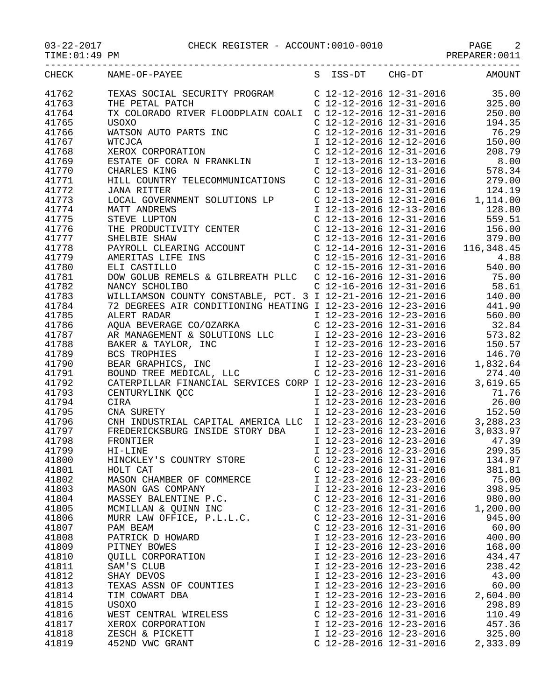## 03-22-2017 CHECK REGISTER - ACCOUNT:0010-0010 PAGE 2

TIME:01:49 PM PREPARER:0011

| CHECK          | S ISS-DT CHG-DT AMOUNT<br>NAME-OF-PAYEE |                                     |                                     |          |
|----------------|-----------------------------------------|-------------------------------------|-------------------------------------|----------|
| 41762          |                                         |                                     |                                     |          |
| 41763          |                                         |                                     |                                     |          |
| 41764          |                                         |                                     |                                     |          |
| 41765          |                                         |                                     |                                     |          |
| 41766          |                                         |                                     |                                     |          |
| 41767          |                                         |                                     |                                     |          |
| 41768          |                                         |                                     |                                     |          |
| 41769          |                                         |                                     |                                     |          |
| 41770          |                                         |                                     |                                     |          |
| 41771          |                                         |                                     |                                     |          |
| 41772          |                                         |                                     |                                     |          |
| 41773          |                                         |                                     |                                     |          |
| 41774          |                                         |                                     |                                     |          |
| 41775          |                                         |                                     |                                     |          |
| 41776          |                                         |                                     |                                     |          |
| 41777          |                                         |                                     |                                     |          |
|                |                                         |                                     |                                     |          |
| 41778<br>41779 |                                         |                                     |                                     |          |
|                |                                         |                                     |                                     |          |
| 41780          |                                         |                                     |                                     |          |
| 41781          |                                         |                                     |                                     |          |
| 41782          |                                         |                                     |                                     |          |
| 41783          |                                         |                                     |                                     |          |
| 41784          |                                         |                                     |                                     |          |
| 41785          |                                         |                                     |                                     |          |
| 41786          |                                         |                                     |                                     |          |
| 41787          |                                         |                                     |                                     |          |
| 41788          |                                         |                                     |                                     |          |
| 41789          |                                         |                                     |                                     |          |
| 41790          |                                         |                                     |                                     |          |
| 41791          |                                         |                                     |                                     |          |
| 41792          |                                         |                                     |                                     |          |
| 41793          |                                         |                                     |                                     |          |
| 41794          |                                         |                                     |                                     |          |
| 41795          |                                         |                                     |                                     |          |
| 41796          |                                         |                                     |                                     |          |
| 41797          |                                         |                                     |                                     |          |
| 41798          |                                         |                                     |                                     |          |
| 41799          |                                         |                                     |                                     |          |
| 41800          | HINCKLEY'S COUNTRY STORE                |                                     | $C$ 12-23-2016 12-31-2016           | 134.97   |
| 41801          | HOLT CAT                                |                                     | $C$ 12-23-2016 12-31-2016           | 381.81   |
| 41802          | MASON CHAMBER OF COMMERCE               |                                     | I 12-23-2016 12-23-2016             | 75.00    |
| 41803          | MASON GAS COMPANY                       |                                     | I 12-23-2016 12-23-2016             | 398.95   |
| 41804          | MASSEY BALENTINE P.C.                   |                                     | C $12 - 23 - 2016$ $12 - 31 - 2016$ | 980.00   |
| 41805          | MCMILLAN & QUINN INC                    | $C$ 12-23-2016 12-31-2016           |                                     | 1,200.00 |
| 41806          | MURR LAW OFFICE, P.L.L.C.               | C $12 - 23 - 2016$ $12 - 31 - 2016$ |                                     | 945.00   |
| 41807          | PAM BEAM                                | $C$ 12-23-2016 12-31-2016           |                                     | 60.00    |
| 41808          | PATRICK D HOWARD                        | I 12-23-2016 12-23-2016             |                                     | 400.00   |
| 41809          | PITNEY BOWES                            |                                     | I 12-23-2016 12-23-2016             | 168.00   |
| 41810          | QUILL CORPORATION                       |                                     | I 12-23-2016 12-23-2016             | 434.47   |
| 41811          | SAM'S CLUB                              | I 12-23-2016 12-23-2016             |                                     | 238.42   |
| 41812          | SHAY DEVOS                              | I 12-23-2016 12-23-2016             |                                     | 43.00    |
| 41813          | TEXAS ASSN OF COUNTIES                  | I 12-23-2016 12-23-2016             |                                     | 60.00    |
| 41814          | TIM COWART DBA                          |                                     | I 12-23-2016 12-23-2016             | 2,604.00 |
| 41815          | USOXO                                   |                                     | I 12-23-2016 12-23-2016             | 298.89   |
| 41816          | WEST CENTRAL WIRELESS                   |                                     | C 12-23-2016 12-31-2016             | 110.49   |
| 41817          | XEROX CORPORATION                       |                                     | I 12-23-2016 12-23-2016             | 457.36   |
| 41818          | ZESCH & PICKETT                         |                                     | I 12-23-2016 12-23-2016             | 325.00   |
| 41819          | 452ND VWC GRANT                         |                                     | C $12-28-2016$ $12-31-2016$         | 2,333.09 |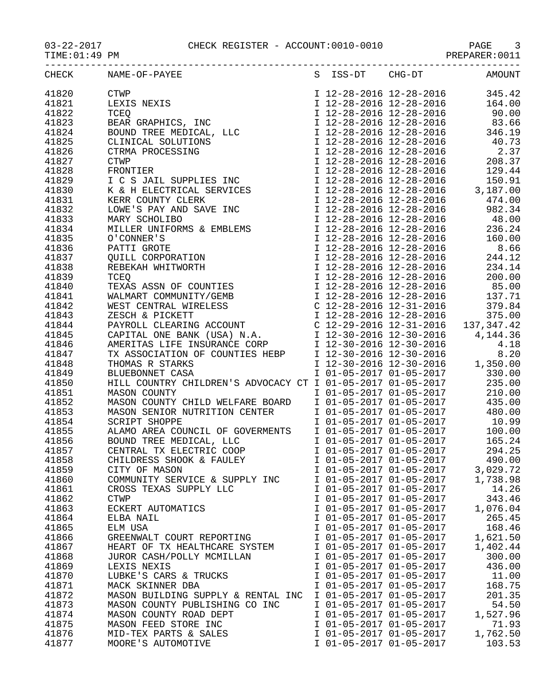## 03-22-2017 CHECK REGISTER - ACCOUNT:0010-0010 PAGE 3

TIME:01:49 PM PREPARER:0011

| CHECK | NAME-OF-PAYEE<br>$\begin{tabular}{l c c c c} \multicolumn{4}{l}{\textbf{NAME-OF-PANTER}} & \multicolumn{4}{l}{ \begin{tabular}{0.96\textwidth} \begin{tabular}{0.96\textwidth} {\bf NAME-OF-PANTER} \\ \multicolumn{4}{l}{\begin{tabular}{0.96\textwidth} \begin{tabular}{0.96\textwidth} \begin{tabular}{0.96\textwidth} \begin{tabular}{0.96\textwidth} \begin{tabular}{0.96\textwidth} \begin{tabular}{0.96\textwidth} \begin{tabular}{0.96\textwidth} \begin{tabular}{0.96\textwidth} \begin{tabular}{0.96\$ |                         | S ISS-DT CHG-DT AMOUNT |
|-------|------------------------------------------------------------------------------------------------------------------------------------------------------------------------------------------------------------------------------------------------------------------------------------------------------------------------------------------------------------------------------------------------------------------------------------------------------------------------------------------------------------------|-------------------------|------------------------|
| 41820 |                                                                                                                                                                                                                                                                                                                                                                                                                                                                                                                  |                         |                        |
| 41821 |                                                                                                                                                                                                                                                                                                                                                                                                                                                                                                                  |                         |                        |
| 41822 |                                                                                                                                                                                                                                                                                                                                                                                                                                                                                                                  |                         |                        |
| 41823 |                                                                                                                                                                                                                                                                                                                                                                                                                                                                                                                  |                         |                        |
|       |                                                                                                                                                                                                                                                                                                                                                                                                                                                                                                                  |                         |                        |
| 41824 |                                                                                                                                                                                                                                                                                                                                                                                                                                                                                                                  |                         |                        |
| 41825 |                                                                                                                                                                                                                                                                                                                                                                                                                                                                                                                  |                         |                        |
| 41826 |                                                                                                                                                                                                                                                                                                                                                                                                                                                                                                                  |                         |                        |
| 41827 |                                                                                                                                                                                                                                                                                                                                                                                                                                                                                                                  |                         |                        |
| 41828 |                                                                                                                                                                                                                                                                                                                                                                                                                                                                                                                  |                         |                        |
| 41829 |                                                                                                                                                                                                                                                                                                                                                                                                                                                                                                                  |                         |                        |
| 41830 |                                                                                                                                                                                                                                                                                                                                                                                                                                                                                                                  |                         |                        |
| 41831 |                                                                                                                                                                                                                                                                                                                                                                                                                                                                                                                  |                         |                        |
| 41832 |                                                                                                                                                                                                                                                                                                                                                                                                                                                                                                                  |                         |                        |
| 41833 |                                                                                                                                                                                                                                                                                                                                                                                                                                                                                                                  |                         |                        |
|       |                                                                                                                                                                                                                                                                                                                                                                                                                                                                                                                  |                         |                        |
| 41834 |                                                                                                                                                                                                                                                                                                                                                                                                                                                                                                                  |                         |                        |
| 41835 |                                                                                                                                                                                                                                                                                                                                                                                                                                                                                                                  |                         |                        |
| 41836 |                                                                                                                                                                                                                                                                                                                                                                                                                                                                                                                  |                         |                        |
| 41837 |                                                                                                                                                                                                                                                                                                                                                                                                                                                                                                                  |                         |                        |
| 41838 |                                                                                                                                                                                                                                                                                                                                                                                                                                                                                                                  |                         |                        |
| 41839 |                                                                                                                                                                                                                                                                                                                                                                                                                                                                                                                  |                         |                        |
| 41840 |                                                                                                                                                                                                                                                                                                                                                                                                                                                                                                                  |                         |                        |
| 41841 |                                                                                                                                                                                                                                                                                                                                                                                                                                                                                                                  |                         |                        |
| 41842 |                                                                                                                                                                                                                                                                                                                                                                                                                                                                                                                  |                         |                        |
| 41843 |                                                                                                                                                                                                                                                                                                                                                                                                                                                                                                                  |                         |                        |
| 41844 |                                                                                                                                                                                                                                                                                                                                                                                                                                                                                                                  |                         |                        |
|       |                                                                                                                                                                                                                                                                                                                                                                                                                                                                                                                  |                         |                        |
| 41845 |                                                                                                                                                                                                                                                                                                                                                                                                                                                                                                                  |                         |                        |
| 41846 |                                                                                                                                                                                                                                                                                                                                                                                                                                                                                                                  |                         |                        |
| 41847 |                                                                                                                                                                                                                                                                                                                                                                                                                                                                                                                  |                         |                        |
| 41848 |                                                                                                                                                                                                                                                                                                                                                                                                                                                                                                                  |                         |                        |
| 41849 |                                                                                                                                                                                                                                                                                                                                                                                                                                                                                                                  |                         |                        |
| 41850 |                                                                                                                                                                                                                                                                                                                                                                                                                                                                                                                  |                         |                        |
| 41851 |                                                                                                                                                                                                                                                                                                                                                                                                                                                                                                                  |                         |                        |
|       |                                                                                                                                                                                                                                                                                                                                                                                                                                                                                                                  |                         |                        |
|       | 41852 MASON COUNTY CHILD WELFARE BOARD<br>41852 MASON SENIOR NUTRITION CENTER<br>435.00<br>480.00<br>480.00<br>480.00<br>480.00<br>480.00<br>480.00<br>480.00<br>41855 SCRIPT SHOPPE<br>42.00<br>42.29<br>42.25<br>42.25<br>42.25<br>42.25<br>42.25<br>42.25<br>42.2                                                                                                                                                                                                                                             |                         |                        |
|       |                                                                                                                                                                                                                                                                                                                                                                                                                                                                                                                  |                         |                        |
|       |                                                                                                                                                                                                                                                                                                                                                                                                                                                                                                                  |                         |                        |
|       |                                                                                                                                                                                                                                                                                                                                                                                                                                                                                                                  |                         |                        |
|       |                                                                                                                                                                                                                                                                                                                                                                                                                                                                                                                  |                         |                        |
|       |                                                                                                                                                                                                                                                                                                                                                                                                                                                                                                                  |                         |                        |
| 41858 | CHILDRESS SHOOK & FAULEY                                                                                                                                                                                                                                                                                                                                                                                                                                                                                         | I 01-05-2017 01-05-2017 | 490.00                 |
| 41859 | CITY OF MASON                                                                                                                                                                                                                                                                                                                                                                                                                                                                                                    | I 01-05-2017 01-05-2017 | 3,029.72               |
| 41860 | COMMUNITY SERVICE & SUPPLY INC                                                                                                                                                                                                                                                                                                                                                                                                                                                                                   | I 01-05-2017 01-05-2017 | 1,738.98               |
| 41861 | CROSS TEXAS SUPPLY LLC                                                                                                                                                                                                                                                                                                                                                                                                                                                                                           | I 01-05-2017 01-05-2017 | 14.26                  |
| 41862 | <b>CTWP</b>                                                                                                                                                                                                                                                                                                                                                                                                                                                                                                      | I 01-05-2017 01-05-2017 | 343.46                 |
| 41863 | ECKERT AUTOMATICS                                                                                                                                                                                                                                                                                                                                                                                                                                                                                                | I 01-05-2017 01-05-2017 | 1,076.04               |
| 41864 | ELBA NAIL                                                                                                                                                                                                                                                                                                                                                                                                                                                                                                        | I 01-05-2017 01-05-2017 | 265.45                 |
| 41865 | ELM USA                                                                                                                                                                                                                                                                                                                                                                                                                                                                                                          | I 01-05-2017 01-05-2017 | 168.46                 |
| 41866 | GREENWALT COURT REPORTING                                                                                                                                                                                                                                                                                                                                                                                                                                                                                        | I 01-05-2017 01-05-2017 | 1,621.50               |
| 41867 |                                                                                                                                                                                                                                                                                                                                                                                                                                                                                                                  | I 01-05-2017 01-05-2017 | 1,402.44               |
|       | HEART OF TX HEALTHCARE SYSTEM                                                                                                                                                                                                                                                                                                                                                                                                                                                                                    |                         |                        |
| 41868 | JUROR CASH/POLLY MCMILLAN                                                                                                                                                                                                                                                                                                                                                                                                                                                                                        | I 01-05-2017 01-05-2017 | 300.00                 |
| 41869 | LEXIS NEXIS                                                                                                                                                                                                                                                                                                                                                                                                                                                                                                      | I 01-05-2017 01-05-2017 | 436.00                 |
| 41870 | LUBKE'S CARS & TRUCKS                                                                                                                                                                                                                                                                                                                                                                                                                                                                                            | I 01-05-2017 01-05-2017 | 11.00                  |
| 41871 | MACK SKINNER DBA                                                                                                                                                                                                                                                                                                                                                                                                                                                                                                 | I 01-05-2017 01-05-2017 | 168.75                 |
| 41872 | MASON BUILDING SUPPLY & RENTAL INC                                                                                                                                                                                                                                                                                                                                                                                                                                                                               | I 01-05-2017 01-05-2017 | 201.35                 |
| 41873 | MASON COUNTY PUBLISHING CO INC                                                                                                                                                                                                                                                                                                                                                                                                                                                                                   | I 01-05-2017 01-05-2017 | 54.50                  |
| 41874 | MASON COUNTY ROAD DEPT                                                                                                                                                                                                                                                                                                                                                                                                                                                                                           | I 01-05-2017 01-05-2017 | 1,527.96               |
| 41875 | MASON FEED STORE INC                                                                                                                                                                                                                                                                                                                                                                                                                                                                                             | I 01-05-2017 01-05-2017 | 71.93                  |
| 41876 | MID-TEX PARTS & SALES                                                                                                                                                                                                                                                                                                                                                                                                                                                                                            | I 01-05-2017 01-05-2017 | 1,762.50               |
| 41877 | MOORE'S AUTOMOTIVE                                                                                                                                                                                                                                                                                                                                                                                                                                                                                               | I 01-05-2017 01-05-2017 | 103.53                 |
|       |                                                                                                                                                                                                                                                                                                                                                                                                                                                                                                                  |                         |                        |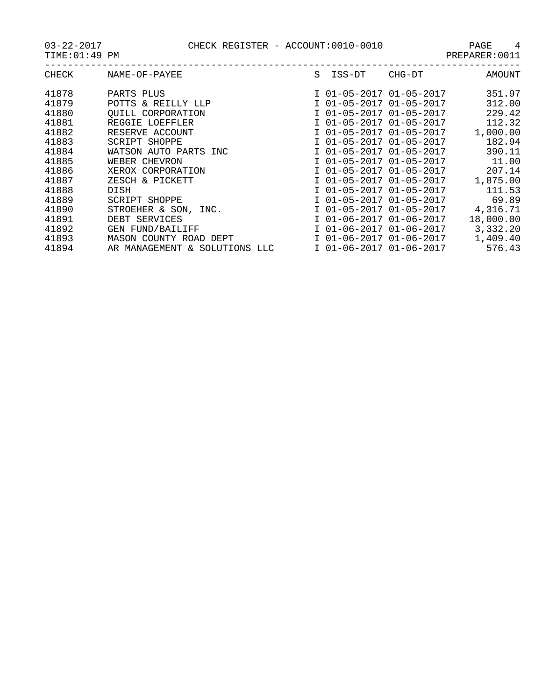03-22-2017 CHECK REGISTER - ACCOUNT:0010-0010 PAGE 4

| CHECK | NAME-OF-PAYEE                 | S. | ISS-DT                  | CHG-DT                  | AMOUNT    |
|-------|-------------------------------|----|-------------------------|-------------------------|-----------|
|       |                               |    |                         |                         |           |
| 41878 | PARTS PLUS                    |    | I 01-05-2017 01-05-2017 |                         | 351.97    |
| 41879 | POTTS & REILLY LLP            |    | I 01-05-2017 01-05-2017 |                         | 312.00    |
| 41880 | <b>OUILL CORPORATION</b>      |    | I 01-05-2017 01-05-2017 |                         | 229.42    |
| 41881 | REGGIE LOEFFLER               |    | I 01-05-2017 01-05-2017 |                         | 112.32    |
| 41882 | RESERVE ACCOUNT               |    | I 01-05-2017 01-05-2017 |                         | 1,000.00  |
| 41883 | SCRIPT SHOPPE                 |    |                         | I 01-05-2017 01-05-2017 | 182.94    |
| 41884 | WATSON AUTO PARTS INC         |    |                         | I 01-05-2017 01-05-2017 | 390.11    |
| 41885 | WEBER CHEVRON                 |    | I 01-05-2017 01-05-2017 |                         | 11.00     |
| 41886 | XEROX CORPORATION             |    | I 01-05-2017 01-05-2017 |                         | 207.14    |
| 41887 | ZESCH & PICKETT               |    | I 01-05-2017 01-05-2017 |                         | 1,875.00  |
| 41888 | DISH                          |    | I 01-05-2017 01-05-2017 |                         | 111.53    |
| 41889 | SCRIPT SHOPPE                 |    | I 01-05-2017 01-05-2017 |                         | 69.89     |
| 41890 | STROEHER & SON, INC.          |    | I 01-05-2017 01-05-2017 |                         | 4,316.71  |
| 41891 | DEBT SERVICES                 |    | I 01-06-2017 01-06-2017 |                         | 18,000.00 |
| 41892 | <b>GEN FUND/BAILIFF</b>       |    | I 01-06-2017 01-06-2017 |                         | 3,332.20  |
| 41893 | MASON COUNTY ROAD DEPT        |    |                         | I 01-06-2017 01-06-2017 | 1,409.40  |
| 41894 | AR MANAGEMENT & SOLUTIONS LLC |    | I 01-06-2017 01-06-2017 |                         | 576.43    |